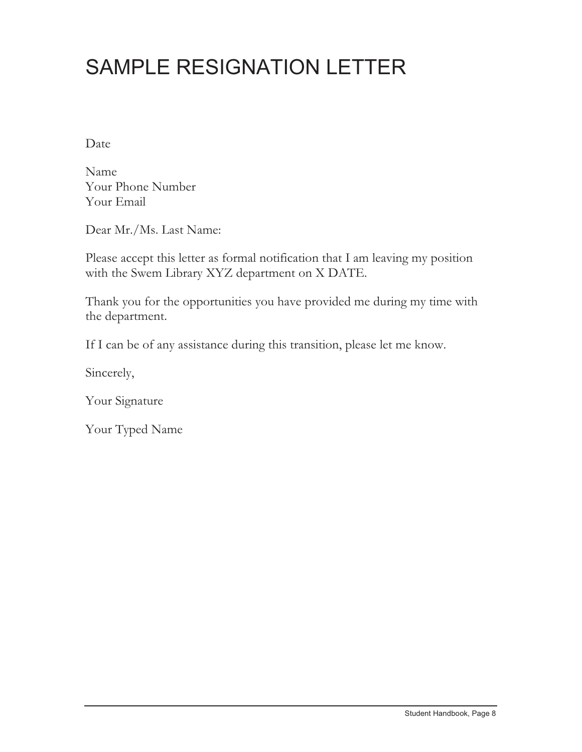## SAMPLE RESIGNATION LETTER

Date

Name Your Phone Number Your Email

Dear Mr./Ms. Last Name:

Please accept this letter as formal notification that I am leaving my position with the Swem Library XYZ department on X DATE.

Thank you for the opportunities you have provided me during my time with the department.

If I can be of any assistance during this transition, please let me know.

Sincerely,

Your Signature

Your Typed Name